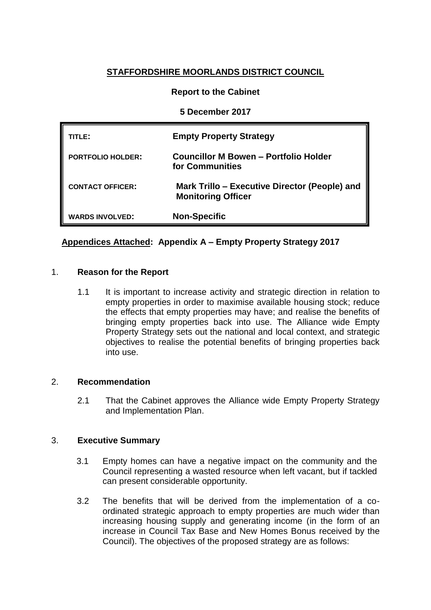# **STAFFORDSHIRE MOORLANDS DISTRICT COUNCIL**

## **Report to the Cabinet**

### **5 December 2017**

| TITLE:                   | <b>Empty Property Strategy</b>                                             |
|--------------------------|----------------------------------------------------------------------------|
| <b>PORTFOLIO HOLDER:</b> | <b>Councillor M Bowen - Portfolio Holder</b><br>for Communities            |
| <b>CONTACT OFFICER:</b>  | Mark Trillo – Executive Director (People) and<br><b>Monitoring Officer</b> |
| <b>WARDS INVOLVED:</b>   | <b>Non-Specific</b>                                                        |

# **Appendices Attached: Appendix A – Empty Property Strategy 2017**

#### 1. **Reason for the Report**

1.1 It is important to increase activity and strategic direction in relation to empty properties in order to maximise available housing stock; reduce the effects that empty properties may have; and realise the benefits of bringing empty properties back into use. The Alliance wide Empty Property Strategy sets out the national and local context, and strategic objectives to realise the potential benefits of bringing properties back into use.

#### 2. **Recommendation**

2.1 That the Cabinet approves the Alliance wide Empty Property Strategy and Implementation Plan.

#### 3. **Executive Summary**

- 3.1 Empty homes can have a negative impact on the community and the Council representing a wasted resource when left vacant, but if tackled can present considerable opportunity.
- 3.2 The benefits that will be derived from the implementation of a coordinated strategic approach to empty properties are much wider than increasing housing supply and generating income (in the form of an increase in Council Tax Base and New Homes Bonus received by the Council). The objectives of the proposed strategy are as follows: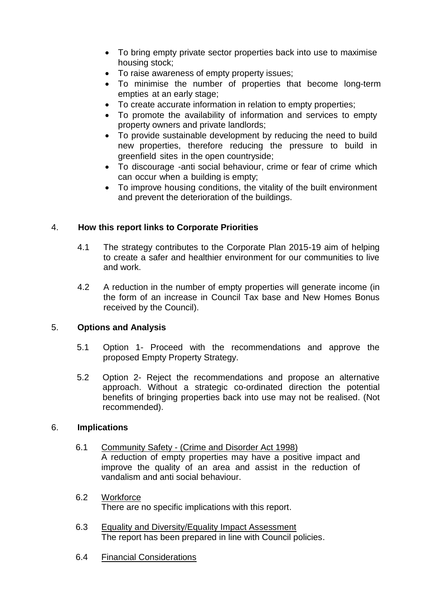- To bring empty private sector properties back into use to maximise housing stock;
- To raise awareness of empty property issues;
- To minimise the number of properties that become long-term empties at an early stage;
- To create accurate information in relation to empty properties;
- To promote the availability of information and services to empty property owners and private landlords;
- To provide sustainable development by reducing the need to build new properties, therefore reducing the pressure to build in greenfield sites in the open countryside;
- To discourage -anti social behaviour, crime or fear of crime which can occur when a building is empty;
- To improve housing conditions, the vitality of the built environment and prevent the deterioration of the buildings.

#### 4. **How this report links to Corporate Priorities**

- 4.1 The strategy contributes to the Corporate Plan 2015-19 aim of helping to create a safer and healthier environment for our communities to live and work.
- 4.2 A reduction in the number of empty properties will generate income (in the form of an increase in Council Tax base and New Homes Bonus received by the Council).

#### 5. **Options and Analysis**

- 5.1 Option 1- Proceed with the recommendations and approve the proposed Empty Property Strategy.
- 5.2 Option 2- Reject the recommendations and propose an alternative approach. Without a strategic co-ordinated direction the potential benefits of bringing properties back into use may not be realised. (Not recommended).

#### 6. **Implications**

- 6.1 Community Safety (Crime and Disorder Act 1998) A reduction of empty properties may have a positive impact and improve the quality of an area and assist in the reduction of vandalism and anti social behaviour.
- 6.2 Workforce There are no specific implications with this report.
- 6.3 Equality and Diversity/Equality Impact Assessment The report has been prepared in line with Council policies.
- 6.4 Financial Considerations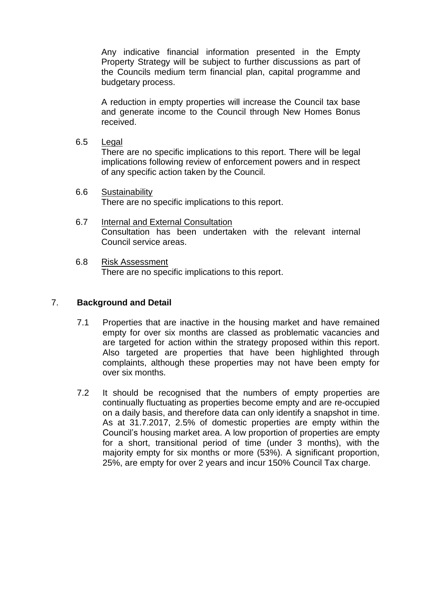Any indicative financial information presented in the Empty Property Strategy will be subject to further discussions as part of the Councils medium term financial plan, capital programme and budgetary process.

A reduction in empty properties will increase the Council tax base and generate income to the Council through New Homes Bonus received.

6.5 Legal

There are no specific implications to this report. There will be legal implications following review of enforcement powers and in respect of any specific action taken by the Council.

- 6.6 Sustainability There are no specific implications to this report.
- 6.7 Internal and External Consultation Consultation has been undertaken with the relevant internal Council service areas.
- 6.8 Risk Assessment There are no specific implications to this report.

#### 7. **Background and Detail**

- 7.1 Properties that are inactive in the housing market and have remained empty for over six months are classed as problematic vacancies and are targeted for action within the strategy proposed within this report. Also targeted are properties that have been highlighted through complaints, although these properties may not have been empty for over six months.
- 7.2 It should be recognised that the numbers of empty properties are continually fluctuating as properties become empty and are re-occupied on a daily basis, and therefore data can only identify a snapshot in time. As at 31.7.2017, 2.5% of domestic properties are empty within the Council's housing market area. A low proportion of properties are empty for a short, transitional period of time (under 3 months), with the majority empty for six months or more (53%). A significant proportion, 25%, are empty for over 2 years and incur 150% Council Tax charge.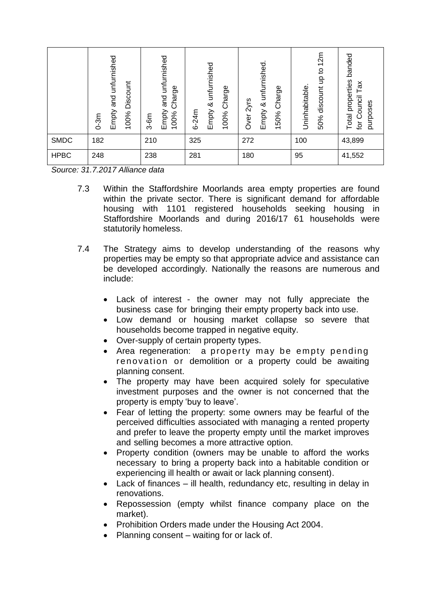|             | and unfurnished<br>Discount<br>Empty a<br>100%<br>$0-3m$ | unfurnished<br>Charge<br>and<br>Empty<br>100%<br>$3-6m$ | unfurnished<br>Charge<br>త<br>Empty<br>$6 - 24m$<br>100% | unfurnished.<br>Charge<br>Over 2yrs<br>∞<br>Empty<br>150% | 12m<br>$\overline{c}$<br>$\frac{\rho}{\sigma}$<br>Uninhabitable.<br>discount<br>50% | banded<br>properties<br>Tax<br>for Council<br>purposes<br>Total |
|-------------|----------------------------------------------------------|---------------------------------------------------------|----------------------------------------------------------|-----------------------------------------------------------|-------------------------------------------------------------------------------------|-----------------------------------------------------------------|
| <b>SMDC</b> | 182                                                      | 210                                                     | 325                                                      | 272                                                       | 100                                                                                 | 43,899                                                          |
| <b>HPBC</b> | 248                                                      | 238                                                     | 281                                                      | 180                                                       | 95                                                                                  | 41,552                                                          |

*Source: 31.7.2017 Alliance data*

- 7.3 Within the Staffordshire Moorlands area empty properties are found within the private sector. There is significant demand for affordable housing with 1101 registered households seeking housing in Staffordshire Moorlands and during 2016/17 61 households were statutorily homeless.
- 7.4 The Strategy aims to develop understanding of the reasons why properties may be empty so that appropriate advice and assistance can be developed accordingly. Nationally the reasons are numerous and include:
	- Lack of interest the owner may not fully appreciate the business case for bringing their empty property back into use.
	- Low demand or housing market collapse so severe that households become trapped in negative equity.
	- Over-supply of certain property types.
	- Area regeneration: a property may be empty pending reno vation or demolition or a property could be awaiting planning consent.
	- The property may have been acquired solely for speculative investment purposes and the owner is not concerned that the property is empty 'buy to leave'.
	- Fear of letting the property: some owners may be fearful of the perceived difficulties associated with managing a rented property and prefer to leave the property empty until the market improves and selling becomes a more attractive option.
	- Property condition (owners may be unable to afford the works necessary to bring a property back into a habitable condition or experiencing ill health or await or lack planning consent).
	- Lack of finances ill health, redundancy etc, resulting in delay in renovations.
	- Repossession (empty whilst finance company place on the market).
	- Prohibition Orders made under the Housing Act 2004.
	- Planning consent waiting for or lack of.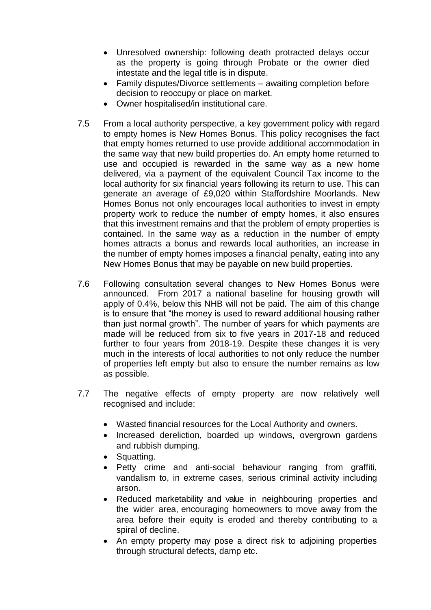- Unresolved ownership: following death protracted delays occur as the property is going through Probate or the owner died intestate and the legal title is in dispute.
- Family disputes/Divorce settlements awaiting completion before decision to reoccupy or place on market.
- Owner hospitalised/in institutional care.
- 7.5 From a local authority perspective, a key government policy with regard to empty homes is New Homes Bonus. This policy recognises the fact that empty homes returned to use provide additional accommodation in the same way that new build properties do. An empty home returned to use and occupied is rewarded in the same way as a new home delivered, via a payment of the equivalent Council Tax income to the local authority for six financial years following its return to use. This can generate an average of £9,020 within Staffordshire Moorlands. New Homes Bonus not only encourages local authorities to invest in empty property work to reduce the number of empty homes, it also ensures that this investment remains and that the problem of empty properties is contained. In the same way as a reduction in the number of empty homes attracts a bonus and rewards local authorities, an increase in the number of empty homes imposes a financial penalty, eating into any New Homes Bonus that may be payable on new build properties.
- 7.6 Following consultation several changes to New Homes Bonus were announced. From 2017 a national baseline for housing growth will apply of 0.4%, below this NHB will not be paid. The aim of this change is to ensure that "the money is used to reward additional housing rather than just normal growth". The number of years for which payments are made will be reduced from six to five years in 2017-18 and reduced further to four years from 2018-19. Despite these changes it is very much in the interests of local authorities to not only reduce the number of properties left empty but also to ensure the number remains as low as possible.
- 7.7 The negative effects of empty property are now relatively well recognised and include:
	- Wasted financial resources for the Local Authority and owners.
	- Increased dereliction, boarded up windows, overgrown gardens and rubbish dumping.
	- Squatting.
	- Petty crime and anti-social behaviour ranging from graffiti, vandalism to, in extreme cases, serious criminal activity including arson.
	- Reduced marketability and value in neighbouring properties and the wider area, encouraging homeowners to move away from the area before their equity is eroded and thereby contributing to a spiral of decline.
	- An empty property may pose a direct risk to adjoining properties through structural defects, damp etc.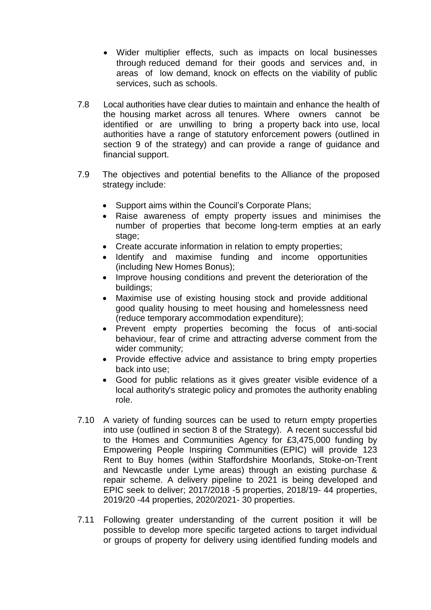- Wider multiplier effects, such as impacts on local businesses through reduced demand for their goods and services and, in areas of low demand, knock on effects on the viability of public services, such as schools.
- 7.8 Local authorities have clear duties to maintain and enhance the health of the housing market across all tenures. Where owners cannot be identified or are unwilling to bring a property back into use, local authorities have a range of statutory enforcement powers (outlined in section 9 of the strategy) and can provide a range of guidance and financial support.
- 7.9 The objectives and potential benefits to the Alliance of the proposed strategy include:
	- Support aims within the Council's Corporate Plans:
	- Raise awareness of empty property issues and minimises the number of properties that become long-term empties at an early stage:
	- Create accurate information in relation to empty properties;
	- Identify and maximise funding and income opportunities (including New Homes Bonus);
	- Improve housing conditions and prevent the deterioration of the buildings;
	- Maximise use of existing housing stock and provide additional good quality housing to meet housing and homelessness need (reduce temporary accommodation expenditure);
	- Prevent empty properties becoming the focus of anti-social behaviour, fear of crime and attracting adverse comment from the wider community;
	- Provide effective advice and assistance to bring empty properties back into use;
	- Good for public relations as it gives greater visible evidence of a local authority's strategic policy and promotes the authority enabling role.
- 7.10 A variety of funding sources can be used to return empty properties into use (outlined in section 8 of the Strategy). A recent successful bid to the Homes and Communities Agency for £3,475,000 funding by Empowering People Inspiring Communities (EPIC) will provide 123 Rent to Buy homes (within Staffordshire Moorlands, Stoke-on-Trent and Newcastle under Lyme areas) through an existing purchase & repair scheme. A delivery pipeline to 2021 is being developed and EPIC seek to deliver; 2017/2018 -5 properties, 2018/19- 44 properties, 2019/20 -44 properties, 2020/2021- 30 properties.
- 7.11 Following greater understanding of the current position it will be possible to develop more specific targeted actions to target individual or groups of property for delivery using identified funding models and